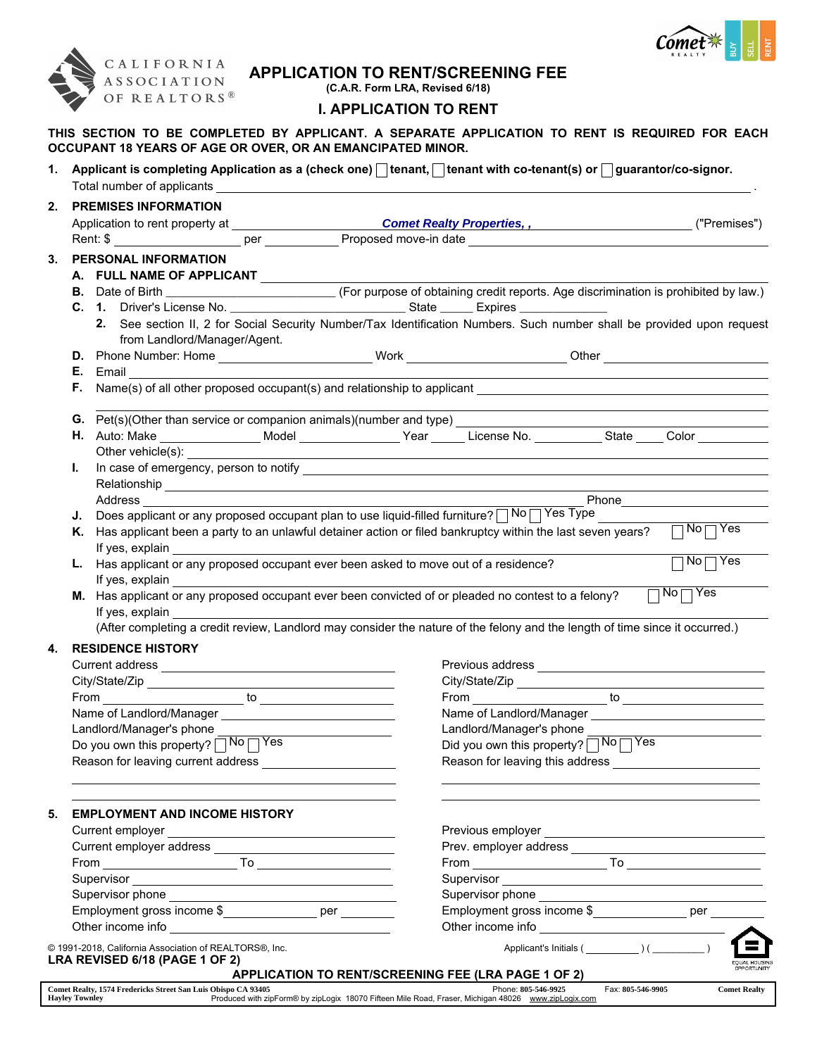

## APPLICATION TO RENT/SCREENING FEE

(C.A.R. Form LRA, Revised 6/18)

## I. APPLICATION TO RENT

THIS SECTION TO BE COMPLETED BY APPLICANT. A SEPARATE APPLICATION TO RENT IS REQUIRED FOR EACH OCCUPANT 18 YEARS OF AGE OR OVER, OR AN EMANCIPATED MINOR.

1. Applicant is completing Application as a (check one)  $\Box$  tenant,  $\Box$  tenant with co-tenant(s) or  $\Box$  guarantor/co-signor. Total number of applicants .

|     |                                                                                                                                                                                                                                      |                                                                                                                     |  | Comet Realty Properties, , National Properties and Comet Realty Properties, ,                                    |  | ("Premises")                                                                                                                                                                                                                  |  |
|-----|--------------------------------------------------------------------------------------------------------------------------------------------------------------------------------------------------------------------------------------|---------------------------------------------------------------------------------------------------------------------|--|------------------------------------------------------------------------------------------------------------------|--|-------------------------------------------------------------------------------------------------------------------------------------------------------------------------------------------------------------------------------|--|
|     | Rent: \$                                                                                                                                                                                                                             |                                                                                                                     |  |                                                                                                                  |  |                                                                                                                                                                                                                               |  |
| 3.  | PERSONAL INFORMATION                                                                                                                                                                                                                 |                                                                                                                     |  |                                                                                                                  |  |                                                                                                                                                                                                                               |  |
|     | A. FULL NAME OF APPLICANT                                                                                                                                                                                                            |                                                                                                                     |  |                                                                                                                  |  |                                                                                                                                                                                                                               |  |
|     | B. Date of Birth __________________________________(For purpose of obtaining credit reports. Age discrimination is prohibited by law.)                                                                                               |                                                                                                                     |  |                                                                                                                  |  |                                                                                                                                                                                                                               |  |
|     |                                                                                                                                                                                                                                      |                                                                                                                     |  |                                                                                                                  |  |                                                                                                                                                                                                                               |  |
|     | 2. See section II, 2 for Social Security Number/Tax Identification Numbers. Such number shall be provided upon request                                                                                                               |                                                                                                                     |  |                                                                                                                  |  |                                                                                                                                                                                                                               |  |
|     | from Landlord/Manager/Agent.                                                                                                                                                                                                         |                                                                                                                     |  |                                                                                                                  |  |                                                                                                                                                                                                                               |  |
|     | D. Phone Number: Home _________________________Work _________________________Other ___________________________                                                                                                                       |                                                                                                                     |  |                                                                                                                  |  |                                                                                                                                                                                                                               |  |
|     | <b>E.</b> Email                                                                                                                                                                                                                      |                                                                                                                     |  |                                                                                                                  |  |                                                                                                                                                                                                                               |  |
| Е., |                                                                                                                                                                                                                                      |                                                                                                                     |  |                                                                                                                  |  |                                                                                                                                                                                                                               |  |
|     |                                                                                                                                                                                                                                      |                                                                                                                     |  |                                                                                                                  |  | the control of the control of the control of the control of the control of the control of the control of the control of the control of the control of the control of the control of the control of the control of the control |  |
|     | H. Auto: Make ___________________Model _________________Year ______License No. ___________State _____ Color ________                                                                                                                 |                                                                                                                     |  |                                                                                                                  |  |                                                                                                                                                                                                                               |  |
|     | Other vehicle(s): Other vehicle(s):                                                                                                                                                                                                  |                                                                                                                     |  | and the control of the control of the control of the control of the control of the control of the control of the |  |                                                                                                                                                                                                                               |  |
| L.  |                                                                                                                                                                                                                                      |                                                                                                                     |  |                                                                                                                  |  |                                                                                                                                                                                                                               |  |
|     | Relationship experience and the contract of the contract of the contract of the contract of the contract of the contract of the contract of the contract of the contract of the contract of the contract of the contract of th       |                                                                                                                     |  |                                                                                                                  |  |                                                                                                                                                                                                                               |  |
|     |                                                                                                                                                                                                                                      |                                                                                                                     |  |                                                                                                                  |  |                                                                                                                                                                                                                               |  |
| J.  | Does applicant or any proposed occupant plan to use liquid-filled furniture? $\sqrt{N_0\sqrt{N_0}}$                                                                                                                                  |                                                                                                                     |  |                                                                                                                  |  |                                                                                                                                                                                                                               |  |
|     | K. Has applicant been a party to an unlawful detainer action or filed bankruptcy within the last seven years?                                                                                                                        |                                                                                                                     |  |                                                                                                                  |  | $\sqrt{\sqrt{N_0\sqrt{N_0}}}$                                                                                                                                                                                                 |  |
|     | If yes, explain                                                                                                                                                                                                                      |                                                                                                                     |  |                                                                                                                  |  |                                                                                                                                                                                                                               |  |
|     | L. Has applicant or any proposed occupant ever been asked to move out of a residence?                                                                                                                                                |                                                                                                                     |  |                                                                                                                  |  | $\overline{\overline{\mathsf{Yes}}}$<br>No <sub>1</sub>                                                                                                                                                                       |  |
|     | If yes, explain                                                                                                                                                                                                                      |                                                                                                                     |  |                                                                                                                  |  |                                                                                                                                                                                                                               |  |
|     | $No \overline{\bigcap Yes}$<br>M. Has applicant or any proposed occupant ever been convicted of or pleaded no contest to a felony?                                                                                                   |                                                                                                                     |  |                                                                                                                  |  |                                                                                                                                                                                                                               |  |
|     | If yes, explain                                                                                                                                                                                                                      |                                                                                                                     |  |                                                                                                                  |  |                                                                                                                                                                                                                               |  |
|     | (After completing a credit review, Landlord may consider the nature of the felony and the length of time since it occurred.)                                                                                                         |                                                                                                                     |  |                                                                                                                  |  |                                                                                                                                                                                                                               |  |
| 4.  | <b>RESIDENCE HISTORY</b>                                                                                                                                                                                                             |                                                                                                                     |  |                                                                                                                  |  |                                                                                                                                                                                                                               |  |
|     |                                                                                                                                                                                                                                      |                                                                                                                     |  |                                                                                                                  |  |                                                                                                                                                                                                                               |  |
|     |                                                                                                                                                                                                                                      |                                                                                                                     |  |                                                                                                                  |  |                                                                                                                                                                                                                               |  |
|     |                                                                                                                                                                                                                                      |                                                                                                                     |  |                                                                                                                  |  |                                                                                                                                                                                                                               |  |
|     |                                                                                                                                                                                                                                      |                                                                                                                     |  |                                                                                                                  |  |                                                                                                                                                                                                                               |  |
|     |                                                                                                                                                                                                                                      |                                                                                                                     |  |                                                                                                                  |  |                                                                                                                                                                                                                               |  |
|     | Landlord/Manager's phone                                                                                                                                                                                                             |                                                                                                                     |  |                                                                                                                  |  |                                                                                                                                                                                                                               |  |
|     |                                                                                                                                                                                                                                      |                                                                                                                     |  | Landlord/Manager's phone                                                                                         |  |                                                                                                                                                                                                                               |  |
|     | Do you own this property? No Yes                                                                                                                                                                                                     |                                                                                                                     |  | Did you own this property? No Yes                                                                                |  |                                                                                                                                                                                                                               |  |
|     | Reason for leaving current address <b>contains the control of the control of the control of the control of the control of the control of the control of the control of the control of the control of the control of the control </b> |                                                                                                                     |  |                                                                                                                  |  |                                                                                                                                                                                                                               |  |
|     |                                                                                                                                                                                                                                      |                                                                                                                     |  |                                                                                                                  |  |                                                                                                                                                                                                                               |  |
| 5.  | <b>EMPLOYMENT AND INCOME HISTORY</b>                                                                                                                                                                                                 |                                                                                                                     |  |                                                                                                                  |  |                                                                                                                                                                                                                               |  |
|     |                                                                                                                                                                                                                                      |                                                                                                                     |  |                                                                                                                  |  |                                                                                                                                                                                                                               |  |
|     |                                                                                                                                                                                                                                      |                                                                                                                     |  |                                                                                                                  |  |                                                                                                                                                                                                                               |  |
|     |                                                                                                                                                                                                                                      |                                                                                                                     |  |                                                                                                                  |  |                                                                                                                                                                                                                               |  |
|     | Supervisor                                                                                                                                                                                                                           | <u> 1989 - Johann Barn, mars eta bainar eta baina eta baina eta baina eta baina eta baina eta baina eta baina e</u> |  | Supervisor                                                                                                       |  |                                                                                                                                                                                                                               |  |
|     | Supervisor phone example and the state of the state of the state of the state of the state of the state of the                                                                                                                       |                                                                                                                     |  | Supervisor phone example and the state of the state of the state of the state of the state of the state of the   |  |                                                                                                                                                                                                                               |  |
|     | Employment gross income \$________________ per ________                                                                                                                                                                              |                                                                                                                     |  | Employment gross income \$________________ per _________                                                         |  |                                                                                                                                                                                                                               |  |
|     |                                                                                                                                                                                                                                      |                                                                                                                     |  |                                                                                                                  |  |                                                                                                                                                                                                                               |  |
|     | © 1991-2018, California Association of REALTORS®, Inc.<br>LRA REVISED 6/18 (PAGE 1 OF 2)                                                                                                                                             |                                                                                                                     |  | APPLICATION TO RENT/SCREENING FEE (LRA PAGE 1 OF 2)                                                              |  | <b>FOUAL HOUSE</b><br><b>OPPORTUNITY</b>                                                                                                                                                                                      |  |